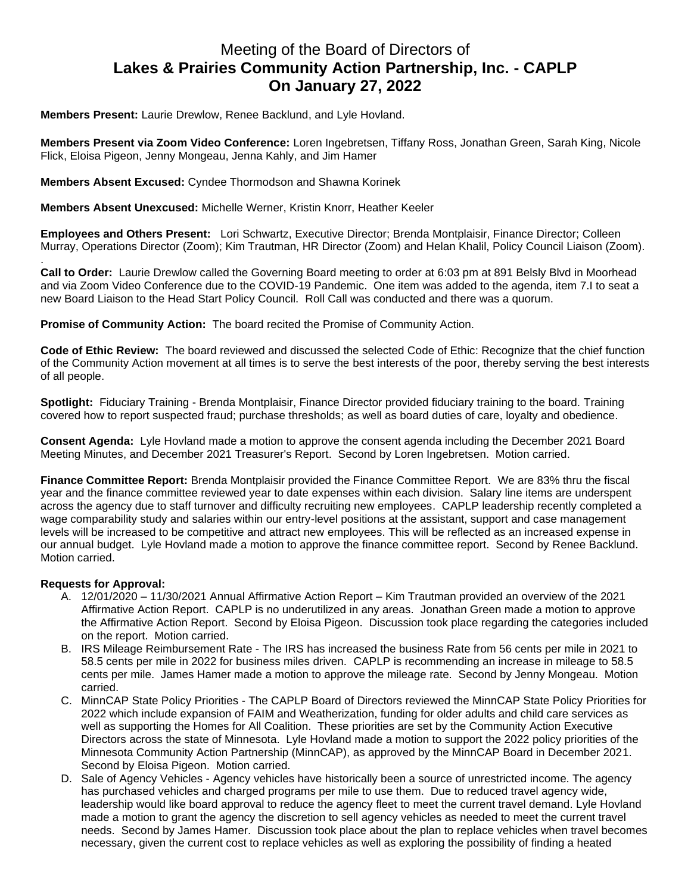## Meeting of the Board of Directors of **Lakes & Prairies Community Action Partnership, Inc. - CAPLP On January 27, 2022**

**Members Present:** Laurie Drewlow, Renee Backlund, and Lyle Hovland.

**Members Present via Zoom Video Conference:** Loren Ingebretsen, Tiffany Ross, Jonathan Green, Sarah King, Nicole Flick, Eloisa Pigeon, Jenny Mongeau, Jenna Kahly, and Jim Hamer

**Members Absent Excused:** Cyndee Thormodson and Shawna Korinek

**Members Absent Unexcused:** Michelle Werner, Kristin Knorr, Heather Keeler

**Employees and Others Present:** Lori Schwartz, Executive Director; Brenda Montplaisir, Finance Director; Colleen Murray, Operations Director (Zoom); Kim Trautman, HR Director (Zoom) and Helan Khalil, Policy Council Liaison (Zoom).

. **Call to Order:** Laurie Drewlow called the Governing Board meeting to order at 6:03 pm at 891 Belsly Blvd in Moorhead and via Zoom Video Conference due to the COVID-19 Pandemic. One item was added to the agenda, item 7.I to seat a new Board Liaison to the Head Start Policy Council. Roll Call was conducted and there was a quorum.

**Promise of Community Action:** The board recited the Promise of Community Action.

**Code of Ethic Review:** The board reviewed and discussed the selected Code of Ethic: Recognize that the chief function of the Community Action movement at all times is to serve the best interests of the poor, thereby serving the best interests of all people.

**Spotlight:** Fiduciary Training - Brenda Montplaisir, Finance Director provided fiduciary training to the board. Training covered how to report suspected fraud; purchase thresholds; as well as board duties of care, loyalty and obedience.

**Consent Agenda:** Lyle Hovland made a motion to approve the consent agenda including the December 2021 Board Meeting Minutes, and December 2021 Treasurer's Report. Second by Loren Ingebretsen. Motion carried.

**Finance Committee Report:** Brenda Montplaisir provided the Finance Committee Report. We are 83% thru the fiscal year and the finance committee reviewed year to date expenses within each division. Salary line items are underspent across the agency due to staff turnover and difficulty recruiting new employees. CAPLP leadership recently completed a wage comparability study and salaries within our entry-level positions at the assistant, support and case management levels will be increased to be competitive and attract new employees. This will be reflected as an increased expense in our annual budget. Lyle Hovland made a motion to approve the finance committee report. Second by Renee Backlund. Motion carried.

## **Requests for Approval:**

- A. 12/01/2020 11/30/2021 Annual Affirmative Action Report Kim Trautman provided an overview of the 2021 Affirmative Action Report. CAPLP is no underutilized in any areas. Jonathan Green made a motion to approve the Affirmative Action Report. Second by Eloisa Pigeon. Discussion took place regarding the categories included on the report. Motion carried.
- B. IRS Mileage Reimbursement Rate The IRS has increased the business Rate from 56 cents per mile in 2021 to 58.5 cents per mile in 2022 for business miles driven. CAPLP is recommending an increase in mileage to 58.5 cents per mile. James Hamer made a motion to approve the mileage rate. Second by Jenny Mongeau. Motion carried.
- C. MinnCAP State Policy Priorities The CAPLP Board of Directors reviewed the MinnCAP State Policy Priorities for 2022 which include expansion of FAIM and Weatherization, funding for older adults and child care services as well as supporting the Homes for All Coalition. These priorities are set by the Community Action Executive Directors across the state of Minnesota. Lyle Hovland made a motion to support the 2022 policy priorities of the Minnesota Community Action Partnership (MinnCAP), as approved by the MinnCAP Board in December 2021. Second by Eloisa Pigeon. Motion carried.
- D. Sale of Agency Vehicles Agency vehicles have historically been a source of unrestricted income. The agency has purchased vehicles and charged programs per mile to use them. Due to reduced travel agency wide, leadership would like board approval to reduce the agency fleet to meet the current travel demand. Lyle Hovland made a motion to grant the agency the discretion to sell agency vehicles as needed to meet the current travel needs. Second by James Hamer. Discussion took place about the plan to replace vehicles when travel becomes necessary, given the current cost to replace vehicles as well as exploring the possibility of finding a heated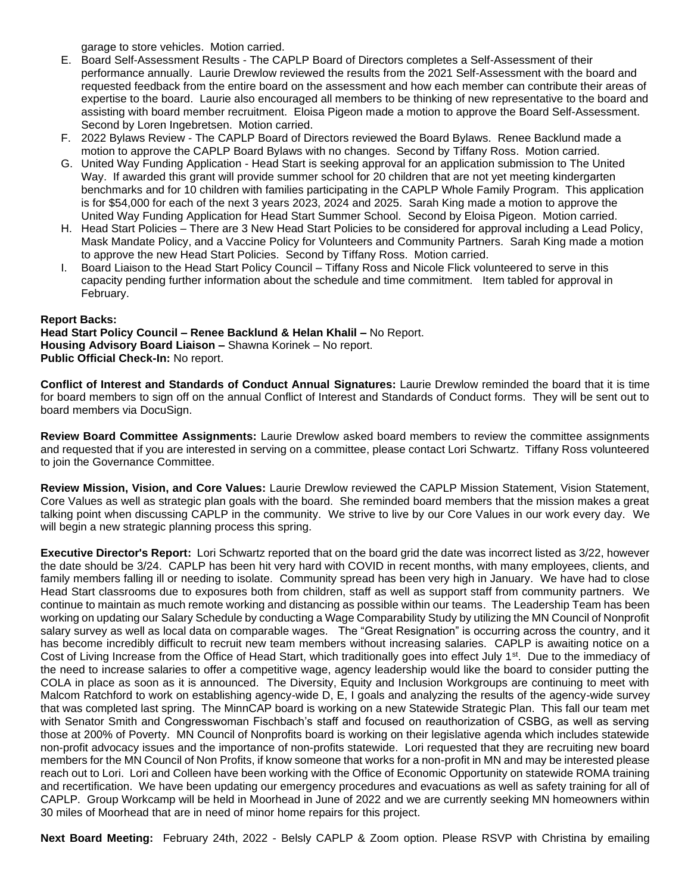garage to store vehicles. Motion carried.

- E. Board Self-Assessment Results The CAPLP Board of Directors completes a Self-Assessment of their performance annually. Laurie Drewlow reviewed the results from the 2021 Self-Assessment with the board and requested feedback from the entire board on the assessment and how each member can contribute their areas of expertise to the board. Laurie also encouraged all members to be thinking of new representative to the board and assisting with board member recruitment. Eloisa Pigeon made a motion to approve the Board Self-Assessment. Second by Loren Ingebretsen. Motion carried.
- F. 2022 Bylaws Review The CAPLP Board of Directors reviewed the Board Bylaws. Renee Backlund made a motion to approve the CAPLP Board Bylaws with no changes. Second by Tiffany Ross. Motion carried.
- G. United Way Funding Application Head Start is seeking approval for an application submission to The United Way. If awarded this grant will provide summer school for 20 children that are not yet meeting kindergarten benchmarks and for 10 children with families participating in the CAPLP Whole Family Program. This application is for \$54,000 for each of the next 3 years 2023, 2024 and 2025. Sarah King made a motion to approve the United Way Funding Application for Head Start Summer School. Second by Eloisa Pigeon. Motion carried.
- H. Head Start Policies There are 3 New Head Start Policies to be considered for approval including a Lead Policy, Mask Mandate Policy, and a Vaccine Policy for Volunteers and Community Partners. Sarah King made a motion to approve the new Head Start Policies. Second by Tiffany Ross. Motion carried.
- Board Liaison to the Head Start Policy Council Tiffany Ross and Nicole Flick volunteered to serve in this capacity pending further information about the schedule and time commitment. Item tabled for approval in February.

## **Report Backs:**

**Head Start Policy Council – Renee Backlund & Helan Khalil –** No Report. **Housing Advisory Board Liaison –** Shawna Korinek – No report. **Public Official Check-In:** No report.

**Conflict of Interest and Standards of Conduct Annual Signatures:** Laurie Drewlow reminded the board that it is time for board members to sign off on the annual Conflict of Interest and Standards of Conduct forms. They will be sent out to board members via DocuSign.

**Review Board Committee Assignments:** Laurie Drewlow asked board members to review the committee assignments and requested that if you are interested in serving on a committee, please contact Lori Schwartz. Tiffany Ross volunteered to join the Governance Committee.

**Review Mission, Vision, and Core Values:** Laurie Drewlow reviewed the CAPLP Mission Statement, Vision Statement, Core Values as well as strategic plan goals with the board. She reminded board members that the mission makes a great talking point when discussing CAPLP in the community. We strive to live by our Core Values in our work every day. We will begin a new strategic planning process this spring.

**Executive Director's Report:** Lori Schwartz reported that on the board grid the date was incorrect listed as 3/22, however the date should be 3/24. CAPLP has been hit very hard with COVID in recent months, with many employees, clients, and family members falling ill or needing to isolate. Community spread has been very high in January. We have had to close Head Start classrooms due to exposures both from children, staff as well as support staff from community partners. We continue to maintain as much remote working and distancing as possible within our teams. The Leadership Team has been working on updating our Salary Schedule by conducting a Wage Comparability Study by utilizing the MN Council of Nonprofit salary survey as well as local data on comparable wages. The "Great Resignation" is occurring across the country, and it has become incredibly difficult to recruit new team members without increasing salaries. CAPLP is awaiting notice on a Cost of Living Increase from the Office of Head Start, which traditionally goes into effect July 1<sup>st</sup>. Due to the immediacy of the need to increase salaries to offer a competitive wage, agency leadership would like the board to consider putting the COLA in place as soon as it is announced. The Diversity, Equity and Inclusion Workgroups are continuing to meet with Malcom Ratchford to work on establishing agency-wide D, E, I goals and analyzing the results of the agency-wide survey that was completed last spring. The MinnCAP board is working on a new Statewide Strategic Plan. This fall our team met with Senator Smith and Congresswoman Fischbach's staff and focused on reauthorization of CSBG, as well as serving those at 200% of Poverty. MN Council of Nonprofits board is working on their legislative agenda which includes statewide non-profit advocacy issues and the importance of non-profits statewide. Lori requested that they are recruiting new board members for the MN Council of Non Profits, if know someone that works for a non-profit in MN and may be interested please reach out to Lori. Lori and Colleen have been working with the Office of Economic Opportunity on statewide ROMA training and recertification. We have been updating our emergency procedures and evacuations as well as safety training for all of CAPLP. Group Workcamp will be held in Moorhead in June of 2022 and we are currently seeking MN homeowners within 30 miles of Moorhead that are in need of minor home repairs for this project.

**Next Board Meeting:** February 24th, 2022 - Belsly CAPLP & Zoom option. Please RSVP with Christina by emailing